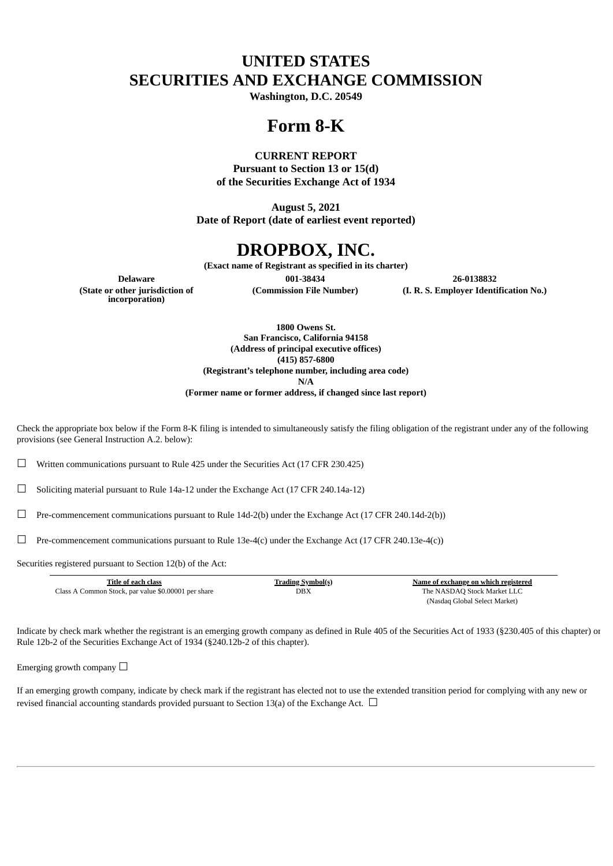# **UNITED STATES SECURITIES AND EXCHANGE COMMISSION**

**Washington, D.C. 20549**

# **Form 8-K**

## **CURRENT REPORT**

**Pursuant to Section 13 or 15(d) of the Securities Exchange Act of 1934**

**August 5, 2021 Date of Report (date of earliest event reported)**

# **DROPBOX, INC.**

**(Exact name of Registrant as specified in its charter)**

**(State or other jurisdiction of incorporation)**

**Delaware 001-38434 26-0138832**

**(Commission File Number) (I. R. S. Employer Identification No.)**

**1800 Owens St. San Francisco, California 94158 (Address of principal executive offices) (415) 857-6800 (Registrant's telephone number, including area code) N/A (Former name or former address, if changed since last report)**

Check the appropriate box below if the Form 8-K filing is intended to simultaneously satisfy the filing obligation of the registrant under any of the following provisions (see General Instruction A.2. below):

 $\Box$  Written communications pursuant to Rule 425 under the Securities Act (17 CFR 230.425)

☐ Soliciting material pursuant to Rule 14a-12 under the Exchange Act (17 CFR 240.14a-12)

☐ Pre-commencement communications pursuant to Rule 14d-2(b) under the Exchange Act (17 CFR 240.14d-2(b))

□ Pre-commencement communications pursuant to Rule 13e-4(c) under the Exchange Act (17 CFR 240.13e-4(c))

Securities registered pursuant to Section 12(b) of the Act:

| Title of each class                                 | T <u>rading Symbol(s)</u> | Name of exchange on which registered |
|-----------------------------------------------------|---------------------------|--------------------------------------|
| Class A Common Stock, par value \$0,00001 per share | DBX                       | The NASDAO Stock Market LLC          |
|                                                     |                           | (Nasdaq Global Select Market)        |

Indicate by check mark whether the registrant is an emerging growth company as defined in Rule 405 of the Securities Act of 1933 (§230.405 of this chapter) or Rule 12b-2 of the Securities Exchange Act of 1934 (§240.12b-2 of this chapter).

Emerging growth company  $\Box$ 

If an emerging growth company, indicate by check mark if the registrant has elected not to use the extended transition period for complying with any new or revised financial accounting standards provided pursuant to Section 13(a) of the Exchange Act.  $\Box$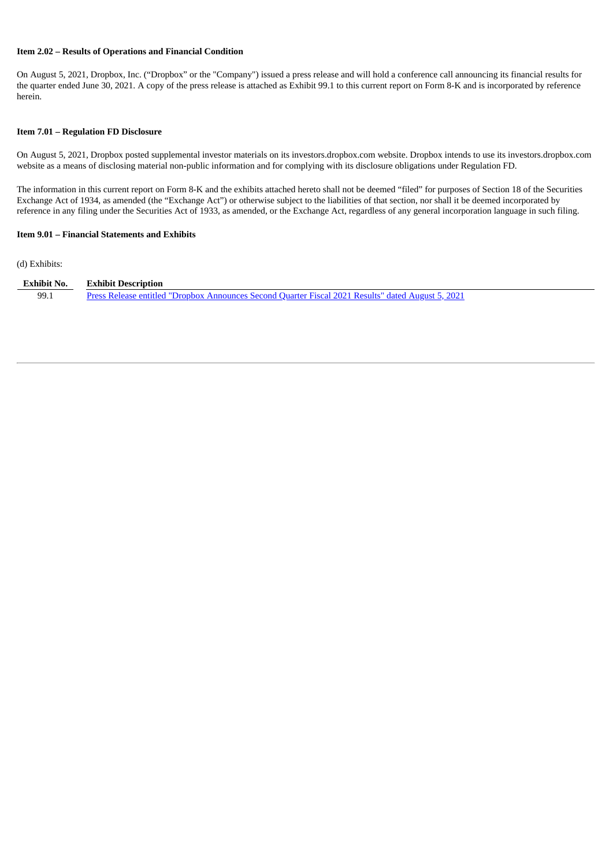#### **Item 2.02 – Results of Operations and Financial Condition**

On August 5, 2021, Dropbox, Inc. ("Dropbox" or the "Company") issued a press release and will hold a conference call announcing its financial results for the quarter ended June 30, 2021. A copy of the press release is attached as Exhibit 99.1 to this current report on Form 8-K and is incorporated by reference herein.

#### **Item 7.01 – Regulation FD Disclosure**

On August 5, 2021, Dropbox posted supplemental investor materials on its investors.dropbox.com website. Dropbox intends to use its investors.dropbox.com website as a means of disclosing material non-public information and for complying with its disclosure obligations under Regulation FD.

The information in this current report on Form 8-K and the exhibits attached hereto shall not be deemed "filed" for purposes of Section 18 of the Securities Exchange Act of 1934, as amended (the "Exchange Act") or otherwise subject to the liabilities of that section, nor shall it be deemed incorporated by reference in any filing under the Securities Act of 1933, as amended, or the Exchange Act, regardless of any general incorporation language in such filing.

### **Item 9.01 – Financial Statements and Exhibits**

(d) Exhibits:

| Exhibit No. | <b>Exhibit Description</b>                                                                         |
|-------------|----------------------------------------------------------------------------------------------------|
| 99.1        | Press Release entitled "Dropbox Announces Second Ouarter Fiscal 2021 Results" dated August 5, 2021 |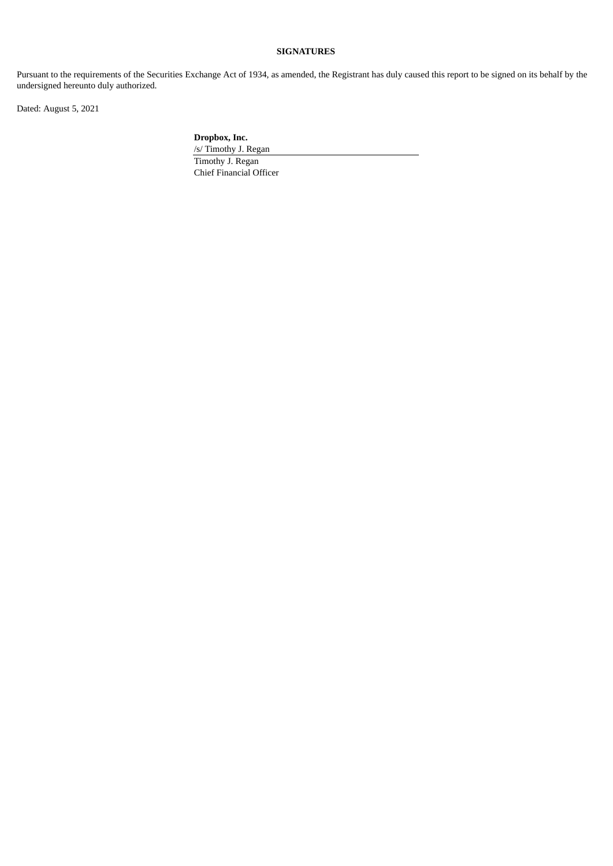## **SIGNATURES**

Pursuant to the requirements of the Securities Exchange Act of 1934, as amended, the Registrant has duly caused this report to be signed on its behalf by the undersigned hereunto duly authorized.

Dated: August 5, 2021

**Dropbox, Inc.**

/s/ Timothy J. Regan Timothy J. Regan Chief Financial Officer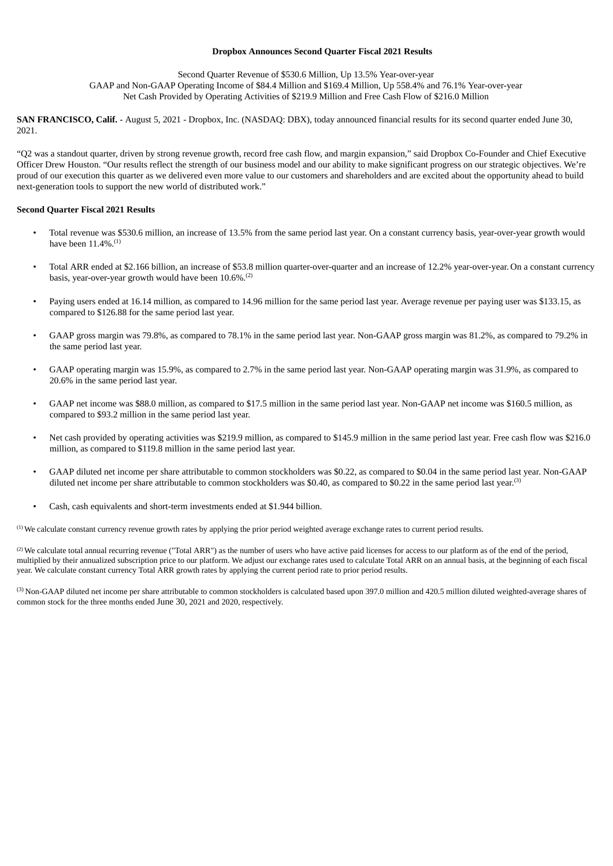#### **Dropbox Announces Second Quarter Fiscal 2021 Results**

Second Quarter Revenue of \$530.6 Million, Up 13.5% Year-over-year

<span id="page-3-0"></span>GAAP and Non-GAAP Operating Income of \$84.4 Million and \$169.4 Million, Up 558.4% and 76.1% Year-over-year Net Cash Provided by Operating Activities of \$219.9 Million and Free Cash Flow of \$216.0 Million

**SAN FRANCISCO, Calif.** - August 5, 2021 - Dropbox, Inc. (NASDAQ: DBX), today announced financial results for its second quarter ended June 30, 2021.

"Q2 was a standout quarter, driven by strong revenue growth, record free cash flow, and margin expansion," said Dropbox Co-Founder and Chief Executive Officer Drew Houston. "Our results reflect the strength of our business model and our ability to make significant progress on our strategic objectives. We're proud of our execution this quarter as we delivered even more value to our customers and shareholders and are excited about the opportunity ahead to build next-generation tools to support the new world of distributed work."

#### **Second Quarter Fiscal 2021 Results**

- Total revenue was \$530.6 million, an increase of 13.5% from the same period last year. On a constant currency basis, year-over-year growth would have been 11.4%.<sup>(1)</sup>
- Total ARR ended at \$2.166 billion, an increase of \$53.8 million quarter-over-quarter and an increase of 12.2% year-over-year. On a constant currency basis, year-over-year growth would have been  $10.6\%$ .<sup>(2)</sup>
- Paying users ended at 16.14 million, as compared to 14.96 million for the same period last year. Average revenue per paying user was \$133.15, as compared to \$126.88 for the same period last year.
- GAAP gross margin was 79.8%, as compared to 78.1% in the same period last year. Non-GAAP gross margin was 81.2%, as compared to 79.2% in the same period last year.
- GAAP operating margin was 15.9%, as compared to 2.7% in the same period last year. Non-GAAP operating margin was 31.9%, as compared to 20.6% in the same period last year.
- GAAP net income was \$88.0 million, as compared to \$17.5 million in the same period last year. Non-GAAP net income was \$160.5 million, as compared to \$93.2 million in the same period last year.
- Net cash provided by operating activities was \$219.9 million, as compared to \$145.9 million in the same period last year. Free cash flow was \$216.0 million, as compared to \$119.8 million in the same period last year.
- GAAP diluted net income per share attributable to common stockholders was \$0.22, as compared to \$0.04 in the same period last year. Non-GAAP diluted net income per share attributable to common stockholders was \$0.40, as compared to \$0.22 in the same period last year.<sup>(3)</sup>
- Cash, cash equivalents and short-term investments ended at \$1.944 billion.

 $<sup>(1)</sup>$  We calculate constant currency revenue growth rates by applying the prior period weighted average exchange rates to current period results.</sup>

 $^{(2)}$  We calculate total annual recurring revenue ("Total ARR") as the number of users who have active paid licenses for access to our platform as of the end of the period, multiplied by their annualized subscription price to our platform. We adjust our exchange rates used to calculate Total ARR on an annual basis, at the beginning of each fiscal year. We calculate constant currency Total ARR growth rates by applying the current period rate to prior period results.

 $^{(3)}$  Non-GAAP diluted net income per share attributable to common stockholders is calculated based upon 397.0 million and 420.5 million diluted weighted-average shares of common stock for the three months ended June 30, 2021 and 2020, respectively.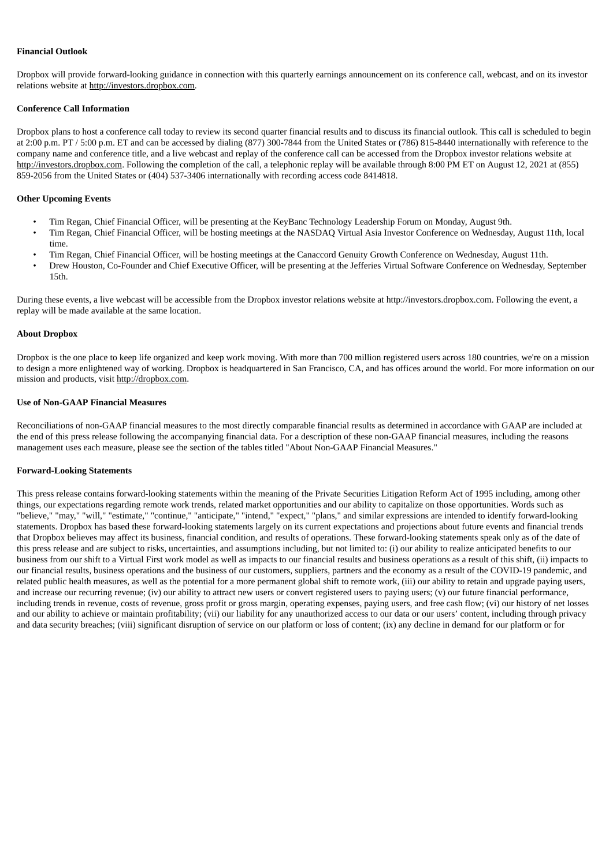#### **Financial Outlook**

Dropbox will provide forward-looking guidance in connection with this quarterly earnings announcement on its conference call, webcast, and on its investor relations website at http://investors.dropbox.com.

#### **Conference Call Information**

Dropbox plans to host a conference call today to review its second quarter financial results and to discuss its financial outlook. This call is scheduled to begin at 2:00 p.m. PT / 5:00 p.m. ET and can be accessed by dialing (877) 300-7844 from the United States or (786) 815-8440 internationally with reference to the company name and conference title, and a live webcast and replay of the conference call can be accessed from the Dropbox investor relations website at http://investors.dropbox.com. Following the completion of the call, a telephonic replay will be available through 8:00 PM ET on August 12, 2021 at (855) 859-2056 from the United States or (404) 537-3406 internationally with recording access code 8414818.

#### **Other Upcoming Events**

- Tim Regan, Chief Financial Officer, will be presenting at the KeyBanc Technology Leadership Forum on Monday, August 9th.
- Tim Regan, Chief Financial Officer, will be hosting meetings at the NASDAQ Virtual Asia Investor Conference on Wednesday, August 11th, local time.
- Tim Regan, Chief Financial Officer, will be hosting meetings at the Canaccord Genuity Growth Conference on Wednesday, August 11th.
- Drew Houston, Co-Founder and Chief Executive Officer, will be presenting at the Jefferies Virtual Software Conference on Wednesday, September 15th.

During these events, a live webcast will be accessible from the Dropbox investor relations website at http://investors.dropbox.com. Following the event, a replay will be made available at the same location.

#### **About Dropbox**

Dropbox is the one place to keep life organized and keep work moving. With more than 700 million registered users across 180 countries, we're on a mission to design a more enlightened way of working. Dropbox is headquartered in San Francisco, CA, and has offices around the world. For more information on our mission and products, visit http://dropbox.com.

#### **Use of Non-GAAP Financial Measures**

Reconciliations of non-GAAP financial measures to the most directly comparable financial results as determined in accordance with GAAP are included at the end of this press release following the accompanying financial data. For a description of these non-GAAP financial measures, including the reasons management uses each measure, please see the section of the tables titled "About Non-GAAP Financial Measures."

### **Forward-Looking Statements**

This press release contains forward-looking statements within the meaning of the Private Securities Litigation Reform Act of 1995 including, among other things, our expectations regarding remote work trends, related market opportunities and our ability to capitalize on those opportunities. Words such as "believe," "may," "will," "estimate," "continue," "anticipate," "intend," "expect," "plans," and similar expressions are intended to identify forward-looking statements. Dropbox has based these forward-looking statements largely on its current expectations and projections about future events and financial trends that Dropbox believes may affect its business, financial condition, and results of operations. These forward-looking statements speak only as of the date of this press release and are subject to risks, uncertainties, and assumptions including, but not limited to: (i) our ability to realize anticipated benefits to our business from our shift to a Virtual First work model as well as impacts to our financial results and business operations as a result of this shift, (ii) impacts to our financial results, business operations and the business of our customers, suppliers, partners and the economy as a result of the COVID-19 pandemic, and related public health measures, as well as the potential for a more permanent global shift to remote work, (iii) our ability to retain and upgrade paying users, and increase our recurring revenue; (iv) our ability to attract new users or convert registered users to paying users; (v) our future financial performance, including trends in revenue, costs of revenue, gross profit or gross margin, operating expenses, paying users, and free cash flow; (vi) our history of net losses and our ability to achieve or maintain profitability; (vii) our liability for any unauthorized access to our data or our users' content, including through privacy and data security breaches; (viii) significant disruption of service on our platform or loss of content; (ix) any decline in demand for our platform or for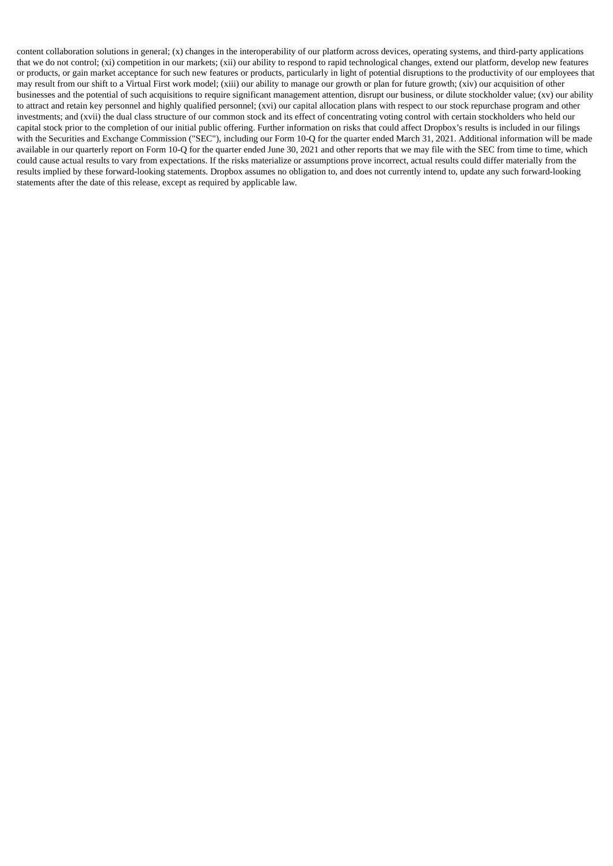content collaboration solutions in general; (x) changes in the interoperability of our platform across devices, operating systems, and third-party applications that we do not control; (xi) competition in our markets; (xii) our ability to respond to rapid technological changes, extend our platform, develop new features or products, or gain market acceptance for such new features or products, particularly in light of potential disruptions to the productivity of our employees that may result from our shift to a Virtual First work model; (xiii) our ability to manage our growth or plan for future growth; (xiv) our acquisition of other businesses and the potential of such acquisitions to require significant management attention, disrupt our business, or dilute stockholder value; (xv) our ability to attract and retain key personnel and highly qualified personnel; (xvi) our capital allocation plans with respect to our stock repurchase program and other investments; and (xvii) the dual class structure of our common stock and its effect of concentrating voting control with certain stockholders who held our capital stock prior to the completion of our initial public offering. Further information on risks that could affect Dropbox's results is included in our filings with the Securities and Exchange Commission ("SEC"), including our Form 10-Q for the quarter ended March 31, 2021. Additional information will be made available in our quarterly report on Form 10-Q for the quarter ended June 30, 2021 and other reports that we may file with the SEC from time to time, which could cause actual results to vary from expectations. If the risks materialize or assumptions prove incorrect, actual results could differ materially from the results implied by these forward-looking statements. Dropbox assumes no obligation to, and does not currently intend to, update any such forward-looking statements after the date of this release, except as required by applicable law.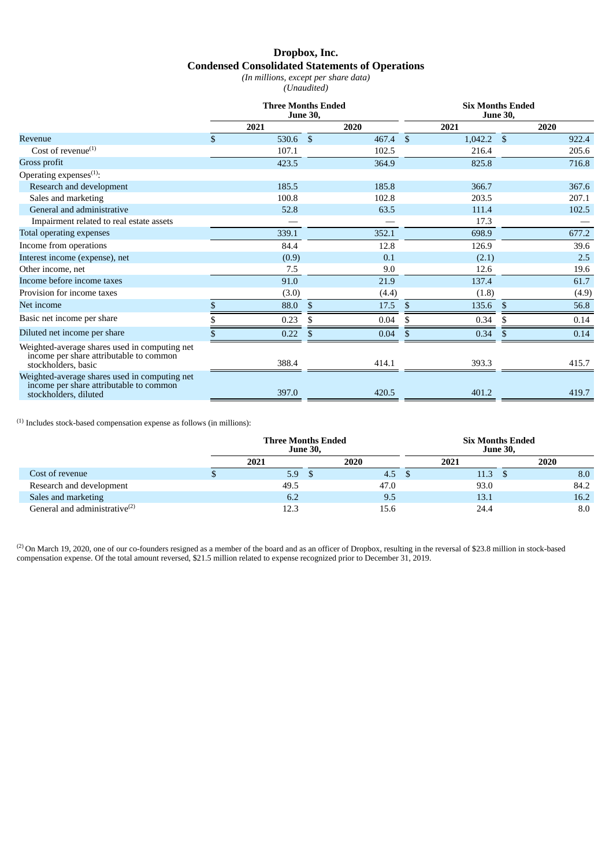# **Dropbox, Inc. Condensed Consolidated Statements of Operations** *(In millions, except per share data)*

*(Unaudited)*

|                                                                                                                   |    | <b>Three Months Ended</b><br><b>June 30,</b> |                |          | <b>Six Months Ended</b><br><b>June 30,</b> |              |              |       |  |  |
|-------------------------------------------------------------------------------------------------------------------|----|----------------------------------------------|----------------|----------|--------------------------------------------|--------------|--------------|-------|--|--|
|                                                                                                                   |    | 2021                                         |                | 2020     |                                            | 2021         |              | 2020  |  |  |
| Revenue                                                                                                           | \$ | 530.6                                        | $\mathfrak{s}$ | 467.4 \$ |                                            | $1,042.2$ \$ |              | 922.4 |  |  |
| Cost of revenue $^{(1)}$                                                                                          |    | 107.1                                        |                | 102.5    |                                            | 216.4        |              | 205.6 |  |  |
| Gross profit                                                                                                      |    | 423.5                                        |                | 364.9    |                                            | 825.8        |              | 716.8 |  |  |
| Operating expenses $(1)$ :                                                                                        |    |                                              |                |          |                                            |              |              |       |  |  |
| Research and development                                                                                          |    | 185.5                                        |                | 185.8    |                                            | 366.7        |              | 367.6 |  |  |
| Sales and marketing                                                                                               |    | 100.8                                        |                | 102.8    |                                            | 203.5        |              | 207.1 |  |  |
| General and administrative                                                                                        |    | 52.8                                         |                | 63.5     |                                            | 111.4        |              | 102.5 |  |  |
| Impairment related to real estate assets                                                                          |    |                                              |                |          |                                            | 17.3         |              |       |  |  |
| Total operating expenses                                                                                          |    | 339.1                                        |                | 352.1    |                                            | 698.9        |              | 677.2 |  |  |
| Income from operations                                                                                            |    | 84.4                                         |                | 12.8     |                                            | 126.9        |              | 39.6  |  |  |
| Interest income (expense), net                                                                                    |    | (0.9)                                        |                | 0.1      |                                            | (2.1)        |              | 2.5   |  |  |
| Other income, net                                                                                                 |    | 7.5                                          |                | 9.0      |                                            | 12.6         |              | 19.6  |  |  |
| Income before income taxes                                                                                        |    | 91.0                                         |                | 21.9     |                                            | 137.4        |              | 61.7  |  |  |
| Provision for income taxes                                                                                        |    | (3.0)                                        |                | (4.4)    |                                            | (1.8)        |              | (4.9) |  |  |
| Net income                                                                                                        | \$ | 88.0                                         | $\mathfrak{S}$ | 17.5     | -\$                                        | 135.6        | $\mathbb{S}$ | 56.8  |  |  |
| Basic net income per share                                                                                        |    | 0.23                                         |                | 0.04     |                                            | 0.34         |              | 0.14  |  |  |
| Diluted net income per share                                                                                      | S. | 0.22                                         | Ж              | 0.04     | Ж                                          | 0.34         | S.           | 0.14  |  |  |
| Weighted-average shares used in computing net<br>income per share attributable to common<br>stockholders, basic   |    | 388.4                                        |                | 414.1    |                                            | 393.3        |              | 415.7 |  |  |
| Weighted-average shares used in computing net<br>income per share attributable to common<br>stockholders, diluted |    | 397.0                                        |                | 420.5    |                                            | 401.2        |              | 419.7 |  |  |

 $(1)$  Includes stock-based compensation expense as follows (in millions):

|                                           | <b>Three Months Ended</b> | <b>June 30,</b> |      | <b>Six Months Ended</b><br><b>June 30,</b> |      |  |      |  |  |
|-------------------------------------------|---------------------------|-----------------|------|--------------------------------------------|------|--|------|--|--|
|                                           | 2021                      |                 | 2020 |                                            | 2021 |  | 2020 |  |  |
| Cost of revenue                           | 5.9 <sup>5</sup>          |                 | 4.5  |                                            | 11.3 |  | 8.0  |  |  |
| Research and development                  | 49.5                      |                 | 47.0 |                                            | 93.0 |  | 84.2 |  |  |
| Sales and marketing                       | 6.2                       |                 | 9.5  |                                            | 13.1 |  | 16.2 |  |  |
| General and administrative <sup>(2)</sup> | 12.3                      |                 | 15.6 |                                            | 24.4 |  | 8.0  |  |  |

(2) On March 19, 2020, one of our co-founders resigned as a member of the board and as an officer of Dropbox, resulting in the reversal of \$23.8 million in stock-based compensation expense. Of the total amount reversed, \$21.5 million related to expense recognized prior to December 31, 2019.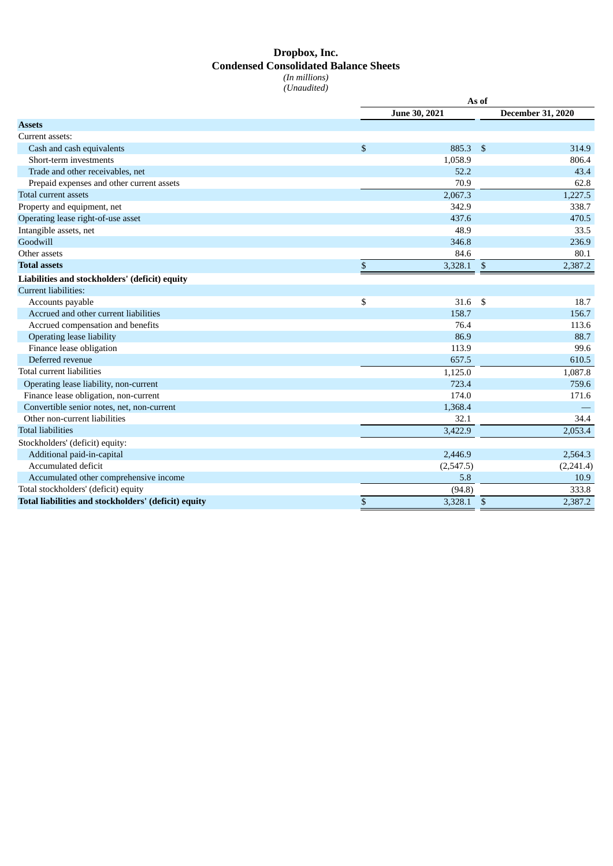# **Dropbox, Inc. Condensed Consolidated Balance Sheets** *(In millions) (Unaudited)*

|                                                      | As of          |               |                |                          |  |  |  |  |
|------------------------------------------------------|----------------|---------------|----------------|--------------------------|--|--|--|--|
|                                                      |                | June 30, 2021 |                | <b>December 31, 2020</b> |  |  |  |  |
| <b>Assets</b>                                        |                |               |                |                          |  |  |  |  |
| Current assets:                                      |                |               |                |                          |  |  |  |  |
| Cash and cash equivalents                            | \$             | 885.3         | \$             | 314.9                    |  |  |  |  |
| Short-term investments                               |                | 1,058.9       |                | 806.4                    |  |  |  |  |
| Trade and other receivables, net                     |                | 52.2          |                | 43.4                     |  |  |  |  |
| Prepaid expenses and other current assets            |                | 70.9          |                | 62.8                     |  |  |  |  |
| Total current assets                                 |                | 2,067.3       |                | 1,227.5                  |  |  |  |  |
| Property and equipment, net                          |                | 342.9         |                | 338.7                    |  |  |  |  |
| Operating lease right-of-use asset                   |                | 437.6         |                | 470.5                    |  |  |  |  |
| Intangible assets, net                               |                | 48.9          |                | 33.5                     |  |  |  |  |
| Goodwill                                             |                | 346.8         |                | 236.9                    |  |  |  |  |
| Other assets                                         |                | 84.6          |                | 80.1                     |  |  |  |  |
| <b>Total assets</b>                                  | $\mathfrak{S}$ | 3,328.1       | $\mathfrak{F}$ | 2.387.2                  |  |  |  |  |
| Liabilities and stockholders' (deficit) equity       |                |               |                |                          |  |  |  |  |
| Current liabilities:                                 |                |               |                |                          |  |  |  |  |
| Accounts payable                                     | \$             | 31.6          | \$             | 18.7                     |  |  |  |  |
| Accrued and other current liabilities                |                | 158.7         |                | 156.7                    |  |  |  |  |
| Accrued compensation and benefits                    |                | 76.4          |                | 113.6                    |  |  |  |  |
| <b>Operating lease liability</b>                     |                | 86.9          |                | 88.7                     |  |  |  |  |
| Finance lease obligation                             |                | 113.9         |                | 99.6                     |  |  |  |  |
| Deferred revenue                                     |                | 657.5         |                | 610.5                    |  |  |  |  |
| Total current liabilities                            |                | 1,125.0       |                | 1,087.8                  |  |  |  |  |
| Operating lease liability, non-current               |                | 723.4         |                | 759.6                    |  |  |  |  |
| Finance lease obligation, non-current                |                | 174.0         |                | 171.6                    |  |  |  |  |
| Convertible senior notes, net, non-current           |                | 1,368.4       |                |                          |  |  |  |  |
| Other non-current liabilities                        |                | 32.1          |                | 34.4                     |  |  |  |  |
| <b>Total liabilities</b>                             |                | 3,422.9       |                | 2,053.4                  |  |  |  |  |
| Stockholders' (deficit) equity:                      |                |               |                |                          |  |  |  |  |
| Additional paid-in-capital                           |                | 2,446.9       |                | 2,564.3                  |  |  |  |  |
| Accumulated deficit                                  |                | (2,547.5)     |                | (2,241.4)                |  |  |  |  |
| Accumulated other comprehensive income               |                | 5.8           |                | 10.9                     |  |  |  |  |
| Total stockholders' (deficit) equity                 |                | (94.8)        |                | 333.8                    |  |  |  |  |
| Total liabilities and stockholders' (deficit) equity | \$             | 3,328.1       | $\mathcal{S}$  | 2,387.2                  |  |  |  |  |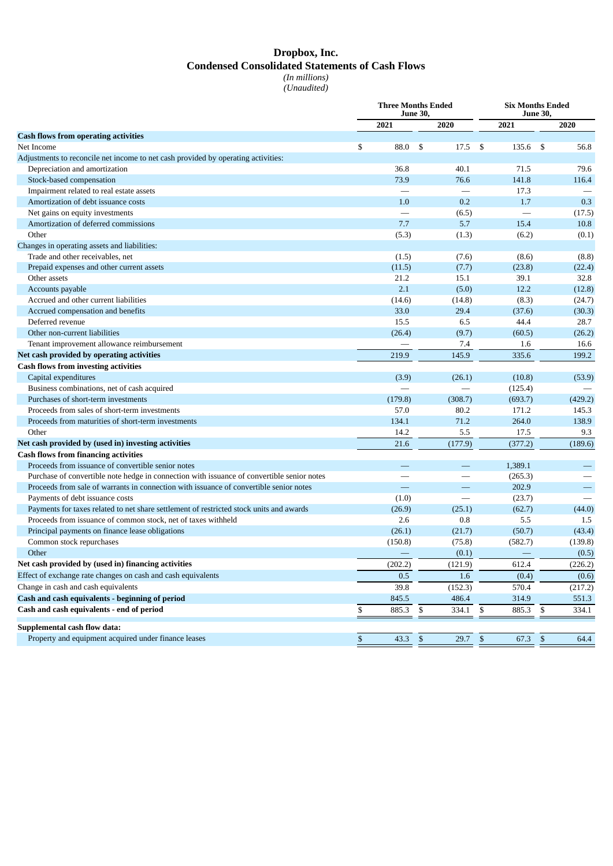# **Dropbox, Inc. Condensed Consolidated Statements of Cash Flows** *(In millions)*

*(Unaudited)*

|                                                                                            |                | <b>Three Months Ended</b> | <b>June 30,</b> |                          | <b>Six Months Ended</b><br><b>June 30,</b> |          |    |         |  |  |
|--------------------------------------------------------------------------------------------|----------------|---------------------------|-----------------|--------------------------|--------------------------------------------|----------|----|---------|--|--|
|                                                                                            |                | 2021                      |                 | 2020                     |                                            | 2021     |    | 2020    |  |  |
| <b>Cash flows from operating activities</b>                                                |                |                           |                 |                          |                                            |          |    |         |  |  |
| Net Income                                                                                 | \$             | 88.0                      | \$              | 17.5                     | \$                                         | 135.6 \$ |    | 56.8    |  |  |
| Adjustments to reconcile net income to net cash provided by operating activities:          |                |                           |                 |                          |                                            |          |    |         |  |  |
| Depreciation and amortization                                                              |                | 36.8                      |                 | 40.1                     |                                            | 71.5     |    | 79.6    |  |  |
| Stock-based compensation                                                                   |                | 73.9                      |                 | 76.6                     |                                            | 141.8    |    | 116.4   |  |  |
| Impairment related to real estate assets                                                   |                | $\overline{\phantom{0}}$  |                 | $\qquad \qquad$          |                                            | 17.3     |    |         |  |  |
| Amortization of debt issuance costs                                                        |                | 1.0                       |                 | 0.2                      |                                            | 1.7      |    | 0.3     |  |  |
| Net gains on equity investments                                                            |                |                           |                 | (6.5)                    |                                            |          |    | (17.5)  |  |  |
| Amortization of deferred commissions                                                       |                | 7.7                       |                 | 5.7                      |                                            | 15.4     |    | 10.8    |  |  |
| Other                                                                                      |                | (5.3)                     |                 | (1.3)                    |                                            | (6.2)    |    | (0.1)   |  |  |
| Changes in operating assets and liabilities:                                               |                |                           |                 |                          |                                            |          |    |         |  |  |
| Trade and other receivables, net                                                           |                | (1.5)                     |                 | (7.6)                    |                                            | (8.6)    |    | (8.8)   |  |  |
| Prepaid expenses and other current assets                                                  |                | (11.5)                    |                 | (7.7)                    |                                            | (23.8)   |    | (22.4)  |  |  |
| Other assets                                                                               |                | 21.2                      |                 | 15.1                     |                                            | 39.1     |    | 32.8    |  |  |
| Accounts payable                                                                           |                | 2.1                       |                 | (5.0)                    |                                            | 12.2     |    | (12.8)  |  |  |
| Accrued and other current liabilities                                                      |                | (14.6)                    |                 | (14.8)                   |                                            | (8.3)    |    | (24.7)  |  |  |
| Accrued compensation and benefits                                                          |                | 33.0                      |                 | 29.4                     |                                            | (37.6)   |    | (30.3)  |  |  |
| Deferred revenue                                                                           |                | 15.5                      |                 | 6.5                      |                                            | 44.4     |    | 28.7    |  |  |
| Other non-current liabilities                                                              |                | (26.4)                    |                 | (9.7)                    |                                            | (60.5)   |    | (26.2)  |  |  |
| Tenant improvement allowance reimbursement                                                 |                |                           |                 | 7.4                      |                                            | 1.6      |    | 16.6    |  |  |
| Net cash provided by operating activities                                                  |                | 219.9                     |                 | 145.9                    |                                            | 335.6    |    | 199.2   |  |  |
| <b>Cash flows from investing activities</b>                                                |                |                           |                 |                          |                                            |          |    |         |  |  |
| Capital expenditures                                                                       |                | (3.9)                     |                 | (26.1)                   |                                            | (10.8)   |    | (53.9)  |  |  |
| Business combinations, net of cash acquired                                                |                | $\overline{\phantom{0}}$  |                 |                          |                                            | (125.4)  |    |         |  |  |
| Purchases of short-term investments                                                        |                | (179.8)                   |                 | (308.7)                  |                                            | (693.7)  |    | (429.2) |  |  |
| Proceeds from sales of short-term investments                                              |                | 57.0                      |                 | 80.2                     |                                            | 171.2    |    | 145.3   |  |  |
| Proceeds from maturities of short-term investments                                         |                | 134.1                     |                 | 71.2                     |                                            | 264.0    |    | 138.9   |  |  |
| Other                                                                                      |                | 14.2                      |                 | 5.5                      |                                            | 17.5     |    | 9.3     |  |  |
| Net cash provided by (used in) investing activities                                        |                | 21.6                      |                 | (177.9)                  |                                            | (377.2)  |    | (189.6) |  |  |
| <b>Cash flows from financing activities</b>                                                |                |                           |                 |                          |                                            |          |    |         |  |  |
| Proceeds from issuance of convertible senior notes                                         |                |                           |                 |                          |                                            | 1,389.1  |    |         |  |  |
| Purchase of convertible note hedge in connection with issuance of convertible senior notes |                |                           |                 |                          |                                            | (265.3)  |    |         |  |  |
| Proceeds from sale of warrants in connection with issuance of convertible senior notes     |                |                           |                 |                          |                                            | 202.9    |    |         |  |  |
| Payments of debt issuance costs                                                            |                | (1.0)                     |                 | $\overline{\phantom{0}}$ |                                            | (23.7)   |    |         |  |  |
| Payments for taxes related to net share settlement of restricted stock units and awards    |                | (26.9)                    |                 | (25.1)                   |                                            | (62.7)   |    | (44.0)  |  |  |
| Proceeds from issuance of common stock, net of taxes withheld                              |                | 2.6                       |                 | 0.8                      |                                            | 5.5      |    | 1.5     |  |  |
| Principal payments on finance lease obligations                                            |                | (26.1)                    |                 | (21.7)                   |                                            | (50.7)   |    | (43.4)  |  |  |
| Common stock repurchases                                                                   |                | (150.8)                   |                 | (75.8)                   |                                            | (582.7)  |    | (139.8) |  |  |
| Other                                                                                      |                |                           |                 | (0.1)                    |                                            |          |    | (0.5)   |  |  |
| Net cash provided by (used in) financing activities                                        |                | (202.2)                   |                 | (121.9)                  |                                            | 612.4    |    | (226.2) |  |  |
| Effect of exchange rate changes on cash and cash equivalents                               |                | 0.5                       |                 | 1.6                      |                                            | (0.4)    |    | (0.6)   |  |  |
| Change in cash and cash equivalents                                                        |                | 39.8                      |                 | (152.3)                  |                                            | 570.4    |    | (217.2) |  |  |
| Cash and cash equivalents - beginning of period                                            |                | 845.5                     |                 | 486.4                    |                                            | 314.9    |    | 551.3   |  |  |
| Cash and cash equivalents - end of period                                                  | \$             | 885.3                     | \$              | 334.1                    | \$                                         | 885.3    | \$ | 334.1   |  |  |
|                                                                                            |                |                           |                 |                          |                                            |          |    |         |  |  |
| Supplemental cash flow data:                                                               |                |                           |                 |                          |                                            |          |    |         |  |  |
| Property and equipment acquired under finance leases                                       | $\mathfrak{S}$ | 43.3 \$                   |                 | 29.7 \$                  |                                            | 67.3 \$  |    | 64.4    |  |  |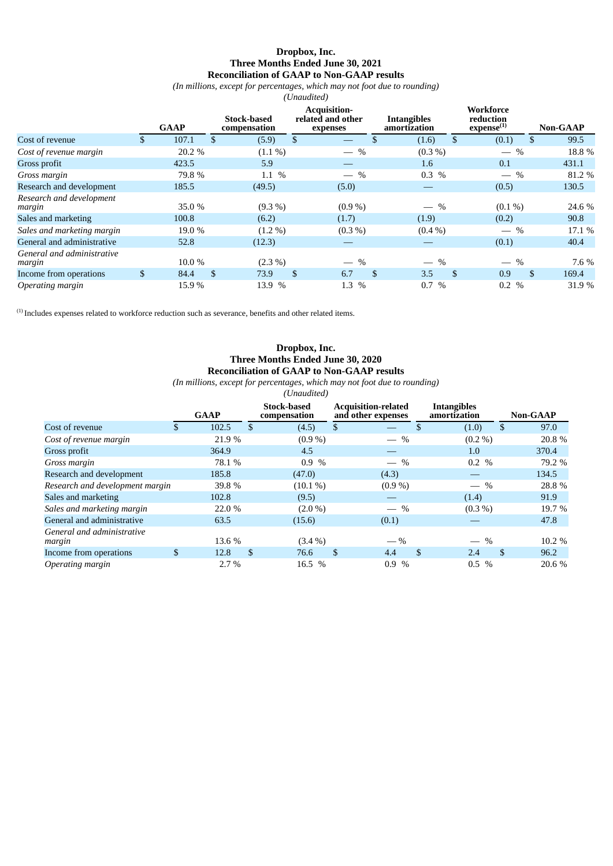## **Dropbox, Inc. Three Months Ended June 30, 2021 Reconciliation of GAAP to Non-GAAP results**

*(In millions, except for percentages, which may not foot due to rounding) (Unaudited)*

|                                      | <i>Unduction</i> |        |               |                                    |                |                                                      |    |                                    |                |                                                                 |                |                 |  |  |
|--------------------------------------|------------------|--------|---------------|------------------------------------|----------------|------------------------------------------------------|----|------------------------------------|----------------|-----------------------------------------------------------------|----------------|-----------------|--|--|
|                                      | <b>GAAP</b>      |        |               | <b>Stock-based</b><br>compensation |                | <b>Acquisition-</b><br>related and other<br>expenses |    | <b>Intangibles</b><br>amortization |                | Workforce<br>reduction<br>$\boldsymbol{\mathrm{expense}^{(1)}}$ |                | <b>Non-GAAP</b> |  |  |
| Cost of revenue                      | \$               | 107.1  | <sup>\$</sup> | (5.9)                              | $\mathbb{S}$   |                                                      |    | (1.6)                              | <sup>\$</sup>  | (0.1)                                                           | <sup>\$</sup>  | 99.5            |  |  |
| Cost of revenue margin               |                  | 20.2 % |               | $(1.1\%)$                          |                | $-$ %                                                |    | $(0.3\%)$                          |                | $-$ %                                                           |                | 18.8 %          |  |  |
| Gross profit                         |                  | 423.5  |               | 5.9                                |                |                                                      |    | 1.6                                |                | 0.1                                                             |                | 431.1           |  |  |
| Gross margin                         |                  | 79.8 % |               | 1.1 %                              |                | $-$ %                                                |    | $0.3\%$                            |                | $-$ %                                                           |                | 81.2 %          |  |  |
| Research and development             |                  | 185.5  |               | (49.5)                             |                | (5.0)                                                |    |                                    |                | (0.5)                                                           |                | 130.5           |  |  |
| Research and development<br>margin   |                  | 35.0 % |               | $(9.3\%)$                          |                | $(0.9\%)$                                            |    | $-$ %                              |                | $(0.1\%)$                                                       |                | 24.6 %          |  |  |
| Sales and marketing                  |                  | 100.8  |               | (6.2)                              |                | (1.7)                                                |    | (1.9)                              |                | (0.2)                                                           |                | 90.8            |  |  |
| Sales and marketing margin           |                  | 19.0 % |               | $(1.2\%)$                          |                | $(0.3\%)$                                            |    | $(0.4\%)$                          |                | $\%$<br>$\overline{\phantom{0}}$                                |                | 17.1 %          |  |  |
| General and administrative           |                  | 52.8   |               | (12.3)                             |                |                                                      |    |                                    |                | (0.1)                                                           |                | 40.4            |  |  |
| General and administrative<br>margin |                  | 10.0 % |               | $(2.3\%)$                          |                | $-$ %                                                |    | $-$ %                              |                | $\%$<br>$\overline{\phantom{m}}$                                |                | 7.6 %           |  |  |
| Income from operations               | \$               | 84.4   | \$            | 73.9                               | $\mathfrak{L}$ | 6.7                                                  | \$ | 3.5                                | $\mathfrak{L}$ | 0.9                                                             | $\mathfrak{L}$ | 169.4           |  |  |
| Operating margin                     |                  | 15.9%  |               | 13.9 %                             |                | 1.3<br>$\frac{0}{0}$                                 |    | $0.7\%$                            |                | $0.2 \%$                                                        |                | 31.9%           |  |  |

 $<sup>(1)</sup>$  Includes expenses related to workforce reduction such as severance, benefits and other related items.</sup>

# **Dropbox, Inc. Three Months Ended June 30, 2020 Reconciliation of GAAP to Non-GAAP results**

*(In millions, except for percentages, which may not foot due to rounding)*

| (Unaudited) |
|-------------|
|             |

|                                      |               | <b>GAAP</b> |     | <b>Stock-based</b><br>compensation | <b>Acquisition-related</b><br>and other expenses |     | <b>Intangibles</b><br>amortization |     | <b>Non-GAAP</b> |
|--------------------------------------|---------------|-------------|-----|------------------------------------|--------------------------------------------------|-----|------------------------------------|-----|-----------------|
| Cost of revenue                      | S.            | 102.5       | \$. | (4.5)                              | \$                                               |     | (1.0)                              | \$  | 97.0            |
| Cost of revenue margin               |               | 21.9%       |     | $(0.9\%)$                          | $-$ %                                            |     | $(0.2\% )$                         |     | 20.8 %          |
| Gross profit                         |               | 364.9       |     | 4.5                                |                                                  |     | 1.0                                |     | 370.4           |
| Gross margin                         |               | 78.1 %      |     | $0.9\%$                            | $-$ %                                            |     | $0.2 \%$                           |     | 79.2 %          |
| Research and development             |               | 185.8       |     | (47.0)                             | (4.3)                                            |     |                                    |     | 134.5           |
| Research and development margin      |               | 39.8 %      |     | $(10.1\%)$                         | $(0.9\%)$                                        |     | $-$ %                              |     | 28.8%           |
| Sales and marketing                  |               | 102.8       |     | (9.5)                              |                                                  |     | (1.4)                              |     | 91.9            |
| Sales and marketing margin           |               | 22.0 %      |     | $(2.0\%)$                          | $-$ %                                            |     | $(0.3\%)$                          |     | 19.7 %          |
| General and administrative           |               | 63.5        |     | (15.6)                             | (0.1)                                            |     |                                    |     | 47.8            |
| General and administrative<br>margin |               | 13.6 %      |     | $(3.4\%)$                          | $-$ %                                            |     | $-$ %                              |     | 10.2 %          |
| Income from operations               | $\mathcal{S}$ | 12.8        | -\$ | 76.6                               | S.<br>4.4                                        | \$. | 2.4                                | \$. | 96.2            |
| Operating margin                     |               | 2.7%        |     | 16.5 %                             | 0.9<br>$\frac{0}{0}$                             |     | $0.5\%$                            |     | 20.6 %          |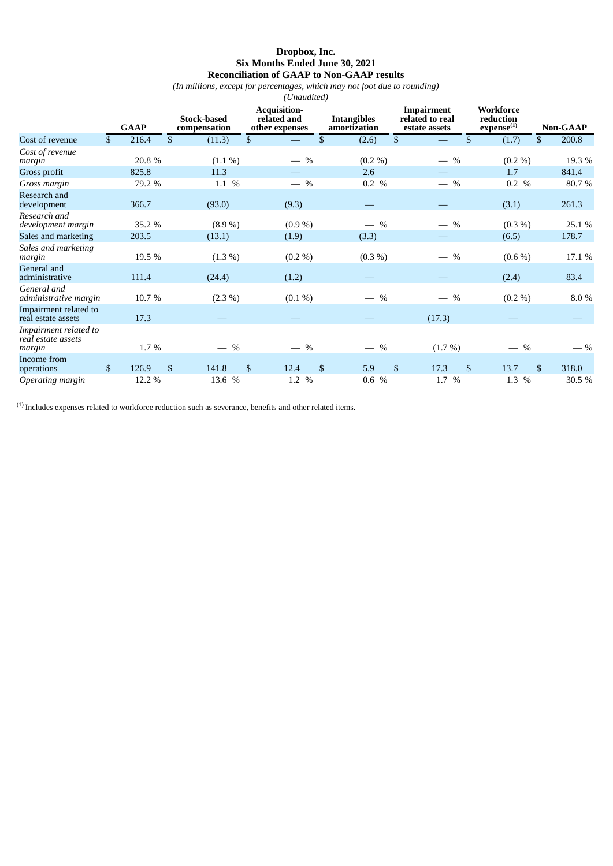## **Dropbox, Inc. Six Months Ended June 30, 2021 Reconciliation of GAAP to Non-GAAP results**

*(In millions, except for percentages, which may not foot due to rounding)*

|                                                       |              |             |              |                                    | (Unaudited)                                          |              |                                    |                                                |                |                                                         |                |                 |
|-------------------------------------------------------|--------------|-------------|--------------|------------------------------------|------------------------------------------------------|--------------|------------------------------------|------------------------------------------------|----------------|---------------------------------------------------------|----------------|-----------------|
|                                                       |              | <b>GAAP</b> |              | <b>Stock-based</b><br>compensation | <b>Acquisition-</b><br>related and<br>other expenses |              | <b>Intangibles</b><br>amortization | Impairment<br>related to real<br>estate assets |                | <b>Workforce</b><br>reduction<br>expense <sup>(1)</sup> |                | <b>Non-GAAP</b> |
| Cost of revenue                                       | $\mathbb{S}$ | 216.4       | $\mathbb{S}$ | (11.3)                             | $\mathbb{S}$                                         | \$           | (2.6)                              | \$                                             | $\mathbb{S}$   | (1.7)                                                   | $\mathfrak{S}$ | 200.8           |
| Cost of revenue<br>margin                             |              | 20.8%       |              | $(1.1\%)$                          | $\frac{0}{0}$                                        |              | $(0.2\%)$                          | $\%$                                           |                | $(0.2\%)$                                               |                | 19.3 %          |
| Gross profit                                          |              | 825.8       |              | 11.3                               |                                                      |              | 2.6                                |                                                |                | 1.7                                                     |                | 841.4           |
| Gross margin                                          |              | 79.2 %      |              | $1.1~\%$                           | $-$ %                                                |              | 0.2 %                              | $\%$<br>$\overline{\phantom{0}}$               |                | 0.2 %                                                   |                | 80.7%           |
| Research and<br>development                           |              | 366.7       |              | (93.0)                             | (9.3)                                                |              |                                    |                                                |                | (3.1)                                                   |                | 261.3           |
| Research and<br>development margin                    |              | 35.2 %      |              | $(8.9\%)$                          | $(0.9\%)$                                            |              | $-$ %                              | $-$ %                                          |                | $(0.3\%)$                                               |                | 25.1 %          |
| Sales and marketing                                   |              | 203.5       |              | (13.1)                             | (1.9)                                                |              | (3.3)                              |                                                |                | (6.5)                                                   |                | 178.7           |
| Sales and marketing<br>margin                         |              | 19.5 %      |              | $(1.3\%)$                          | (0.2 %)                                              |              | $(0.3\%)$                          | $\%$                                           |                | $(0.6\%)$                                               |                | 17.1 %          |
| General and<br>administrative                         |              | 111.4       |              | (24.4)                             | (1.2)                                                |              |                                    |                                                |                | (2.4)                                                   |                | 83.4            |
| General and<br>administrative margin                  |              | 10.7%       |              | $(2.3\%)$                          | $(0.1\%)$                                            |              | $\%$<br>$\overline{\phantom{0}}$   | $\%$<br>$\overline{\phantom{0}}$               |                | $(0.2\%)$                                               |                | 8.0%            |
| Impairment related to<br>real estate assets           |              | 17.3        |              |                                    |                                                      |              |                                    | (17.3)                                         |                |                                                         |                |                 |
| Impairment related to<br>real estate assets<br>margin |              | 1.7%        |              | $-$ %                              | $\%$                                                 |              | $\%$                               | $(1.7\%)$                                      |                | $\%$                                                    |                | $-$ %           |
| Income from<br>operations                             | $\mathbb{S}$ | 126.9       | $\mathbb{S}$ | 141.8                              | $\mathbb{S}$<br>12.4                                 | $\mathbb{S}$ | 5.9                                | \$<br>17.3                                     | $\mathfrak{s}$ | 13.7                                                    | $\mathbb{S}$   | 318.0           |
| Operating margin                                      |              | 12.2 %      |              | 13.6 %                             | 1.2 %                                                |              | 0.6 %                              | 1.7 %                                          |                | 1.3 %                                                   |                | 30.5 %          |

 $^{(1)}$  Includes expenses related to workforce reduction such as severance, benefits and other related items.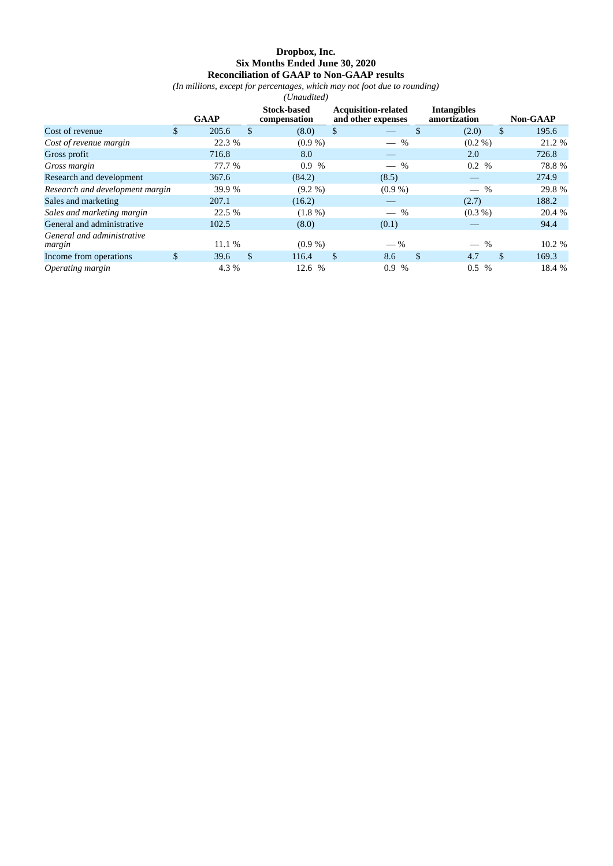### **Dropbox, Inc. Six Months Ended June 30, 2020 Reconciliation of GAAP to Non-GAAP results**

*(In millions, except for percentages, which may not foot due to rounding)*

|                                      |             |               | (Unaudited)                        |                                                  |     |                                    |     |                 |
|--------------------------------------|-------------|---------------|------------------------------------|--------------------------------------------------|-----|------------------------------------|-----|-----------------|
|                                      | <b>GAAP</b> |               | <b>Stock-based</b><br>compensation | <b>Acquisition-related</b><br>and other expenses |     | <b>Intangibles</b><br>amortization |     | <b>Non-GAAP</b> |
| Cost of revenue                      | \$<br>205.6 | \$.           | (8.0)                              | <sup>\$</sup>                                    |     | (2.0)                              | \$  | 195.6           |
| Cost of revenue margin               | 22.3 %      |               | $(0.9\%)$                          | $-$ %                                            |     | $(0.2\%)$                          |     | 21.2 %          |
| Gross profit                         | 716.8       |               | 8.0                                |                                                  |     | 2.0                                |     | 726.8           |
| Gross margin                         | 77.7 %      |               | $0.9\%$                            | $-$ %                                            |     | $0.2 \%$                           |     | 78.8%           |
| Research and development             | 367.6       |               | (84.2)                             | (8.5)                                            |     |                                    |     | 274.9           |
| Research and development margin      | 39.9 %      |               | $(9.2\% )$                         | $(0.9\%)$                                        |     | $\frac{0}{0}$                      |     | 29.8 %          |
| Sales and marketing                  | 207.1       |               | (16.2)                             |                                                  |     | (2.7)                              |     | 188.2           |
| Sales and marketing margin           | 22.5 %      |               | $(1.8\%)$                          | $-$ %                                            |     | $(0.3\%)$                          |     | 20.4 %          |
| General and administrative           | 102.5       |               | (8.0)                              | (0.1)                                            |     |                                    |     | 94.4            |
| General and administrative<br>margin | 11.1 %      |               | $(0.9\%)$                          | $-$ %                                            |     | $\%$                               |     | 10.2 %          |
| Income from operations               | \$<br>39.6  | <sup>\$</sup> | 116.4                              | \$.<br>8.6                                       | \$. | 4.7                                | \$. | 169.3           |
| Operating margin                     | 4.3%        |               | 12.6 %                             | $\frac{0}{0}$<br>0.9                             |     | 0.5<br>$\%$                        |     | 18.4 %          |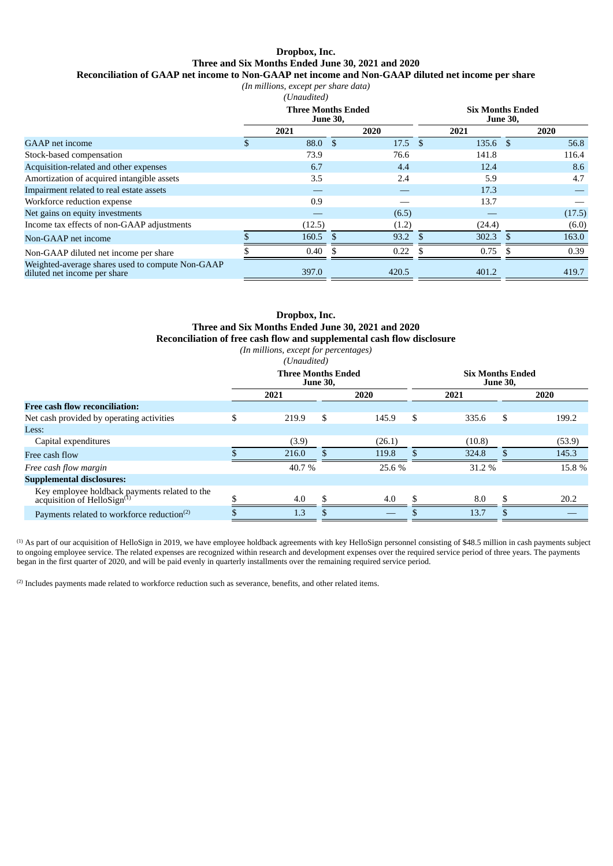### **Dropbox, Inc. Three and Six Months Ended June 30, 2021 and 2020 Reconciliation of GAAP net income to Non-GAAP net income and Non-GAAP diluted net income per share**

|                                                                                  |    | (In millions, except per share data)<br>(Unaudited) |           |                                            |            |  |        |  |  |  |
|----------------------------------------------------------------------------------|----|-----------------------------------------------------|-----------|--------------------------------------------|------------|--|--------|--|--|--|
|                                                                                  |    | <b>Three Months Ended</b><br><b>June 30,</b>        |           | <b>Six Months Ended</b><br><b>June 30,</b> |            |  |        |  |  |  |
|                                                                                  |    | 2021                                                | 2020      |                                            | 2021       |  | 2020   |  |  |  |
| <b>GAAP</b> net income                                                           | S. | 88.0 \$                                             | $17.5$ \$ |                                            | $135.6$ \$ |  | 56.8   |  |  |  |
| Stock-based compensation                                                         |    | 73.9                                                | 76.6      |                                            | 141.8      |  | 116.4  |  |  |  |
| Acquisition-related and other expenses                                           |    | 6.7                                                 | 4.4       |                                            | 12.4       |  | 8.6    |  |  |  |
| Amortization of acquired intangible assets                                       |    | 3.5                                                 | 2.4       |                                            | 5.9        |  | 4.7    |  |  |  |
| Impairment related to real estate assets                                         |    |                                                     |           |                                            | 17.3       |  |        |  |  |  |
| Workforce reduction expense                                                      |    | 0.9                                                 |           |                                            | 13.7       |  |        |  |  |  |
| Net gains on equity investments                                                  |    |                                                     | (6.5)     |                                            |            |  | (17.5) |  |  |  |
| Income tax effects of non-GAAP adjustments                                       |    | (12.5)                                              | (1.2)     |                                            | (24.4)     |  | (6.0)  |  |  |  |
| Non-GAAP net income                                                              |    | 160.5                                               | 93.2      |                                            | 302.3      |  | 163.0  |  |  |  |
| Non-GAAP diluted net income per share                                            |    | 0.40                                                | 0.22      |                                            | 0.75       |  | 0.39   |  |  |  |
| Weighted-average shares used to compute Non-GAAP<br>diluted net income per share |    | 397.0                                               | 420.5     |                                            | 401.2      |  | 419.7  |  |  |  |

## **Dropbox, Inc. Three and Six Months Ended June 30, 2021 and 2020 Reconciliation of free cash flow and supplemental cash flow disclosure** *(In millions, except for percentages)*

*(Unaudited)*

|                                                                                       | Three Months Ended<br><b>June 30,</b> |       |    |        | <b>Six Months Ended</b><br><b>June 30,</b> |        |    |        |
|---------------------------------------------------------------------------------------|---------------------------------------|-------|----|--------|--------------------------------------------|--------|----|--------|
|                                                                                       |                                       | 2021  |    | 2020   |                                            | 2021   |    | 2020   |
| <b>Free cash flow reconciliation:</b>                                                 |                                       |       |    |        |                                            |        |    |        |
| Net cash provided by operating activities                                             | \$                                    | 219.9 | \$ | 145.9  | \$                                         | 335.6  | \$ | 199.2  |
| Less:                                                                                 |                                       |       |    |        |                                            |        |    |        |
| Capital expenditures                                                                  |                                       | (3.9) |    | (26.1) |                                            | (10.8) |    | (53.9) |
| Free cash flow                                                                        |                                       | 216.0 | .S | 119.8  |                                            | 324.8  | \$ | 145.3  |
| Free cash flow margin                                                                 |                                       | 40.7% |    | 25.6 % |                                            | 31.2 % |    | 15.8%  |
| <b>Supplemental disclosures:</b>                                                      |                                       |       |    |        |                                            |        |    |        |
| Key employee holdback payments related to the acquisition of $\text{HelloSign}^{(1)}$ |                                       | 4.0   | \$ | 4.0    |                                            | 8.0    |    | 20.2   |
| Payments related to workforce reduction <sup>(2)</sup>                                |                                       | 1.3   |    |        |                                            | 13.7   |    |        |

 $(1)$  As part of our acquisition of HelloSign in 2019, we have employee holdback agreements with key HelloSign personnel consisting of \$48.5 million in cash payments subject to ongoing employee service. The related expenses are recognized within research and development expenses over the required service period of three years. The payments began in the first quarter of 2020, and will be paid evenly in quarterly installments over the remaining required service period.

 $(2)$  Includes payments made related to workforce reduction such as severance, benefits, and other related items.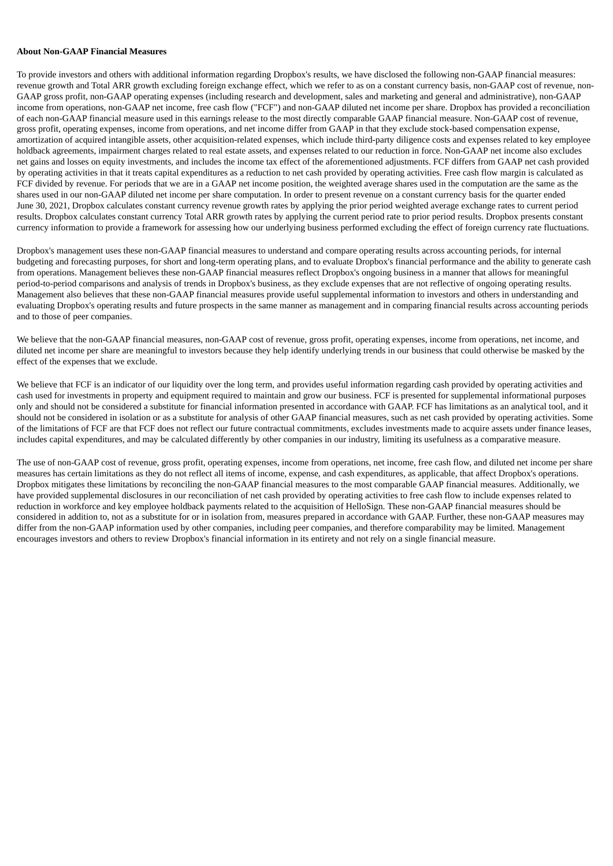#### **About Non-GAAP Financial Measures**

To provide investors and others with additional information regarding Dropbox's results, we have disclosed the following non-GAAP financial measures: revenue growth and Total ARR growth excluding foreign exchange effect, which we refer to as on a constant currency basis, non-GAAP cost of revenue, non-GAAP gross profit, non-GAAP operating expenses (including research and development, sales and marketing and general and administrative), non-GAAP income from operations, non-GAAP net income, free cash flow ("FCF") and non-GAAP diluted net income per share. Dropbox has provided a reconciliation of each non-GAAP financial measure used in this earnings release to the most directly comparable GAAP financial measure. Non-GAAP cost of revenue, gross profit, operating expenses, income from operations, and net income differ from GAAP in that they exclude stock-based compensation expense, amortization of acquired intangible assets, other acquisition-related expenses, which include third-party diligence costs and expenses related to key employee holdback agreements, impairment charges related to real estate assets, and expenses related to our reduction in force. Non-GAAP net income also excludes net gains and losses on equity investments, and includes the income tax effect of the aforementioned adjustments. FCF differs from GAAP net cash provided by operating activities in that it treats capital expenditures as a reduction to net cash provided by operating activities. Free cash flow margin is calculated as FCF divided by revenue. For periods that we are in a GAAP net income position, the weighted average shares used in the computation are the same as the shares used in our non-GAAP diluted net income per share computation. In order to present revenue on a constant currency basis for the quarter ended June 30, 2021, Dropbox calculates constant currency revenue growth rates by applying the prior period weighted average exchange rates to current period results. Dropbox calculates constant currency Total ARR growth rates by applying the current period rate to prior period results. Dropbox presents constant currency information to provide a framework for assessing how our underlying business performed excluding the effect of foreign currency rate fluctuations.

Dropbox's management uses these non-GAAP financial measures to understand and compare operating results across accounting periods, for internal budgeting and forecasting purposes, for short and long-term operating plans, and to evaluate Dropbox's financial performance and the ability to generate cash from operations. Management believes these non-GAAP financial measures reflect Dropbox's ongoing business in a manner that allows for meaningful period-to-period comparisons and analysis of trends in Dropbox's business, as they exclude expenses that are not reflective of ongoing operating results. Management also believes that these non-GAAP financial measures provide useful supplemental information to investors and others in understanding and evaluating Dropbox's operating results and future prospects in the same manner as management and in comparing financial results across accounting periods and to those of peer companies.

We believe that the non-GAAP financial measures, non-GAAP cost of revenue, gross profit, operating expenses, income from operations, net income, and diluted net income per share are meaningful to investors because they help identify underlying trends in our business that could otherwise be masked by the effect of the expenses that we exclude.

We believe that FCF is an indicator of our liquidity over the long term, and provides useful information regarding cash provided by operating activities and cash used for investments in property and equipment required to maintain and grow our business. FCF is presented for supplemental informational purposes only and should not be considered a substitute for financial information presented in accordance with GAAP. FCF has limitations as an analytical tool, and it should not be considered in isolation or as a substitute for analysis of other GAAP financial measures, such as net cash provided by operating activities. Some of the limitations of FCF are that FCF does not reflect our future contractual commitments, excludes investments made to acquire assets under finance leases, includes capital expenditures, and may be calculated differently by other companies in our industry, limiting its usefulness as a comparative measure.

The use of non-GAAP cost of revenue, gross profit, operating expenses, income from operations, net income, free cash flow, and diluted net income per share measures has certain limitations as they do not reflect all items of income, expense, and cash expenditures, as applicable, that affect Dropbox's operations. Dropbox mitigates these limitations by reconciling the non-GAAP financial measures to the most comparable GAAP financial measures. Additionally, we have provided supplemental disclosures in our reconciliation of net cash provided by operating activities to free cash flow to include expenses related to reduction in workforce and key employee holdback payments related to the acquisition of HelloSign. These non-GAAP financial measures should be considered in addition to, not as a substitute for or in isolation from, measures prepared in accordance with GAAP. Further, these non-GAAP measures may differ from the non-GAAP information used by other companies, including peer companies, and therefore comparability may be limited. Management encourages investors and others to review Dropbox's financial information in its entirety and not rely on a single financial measure.